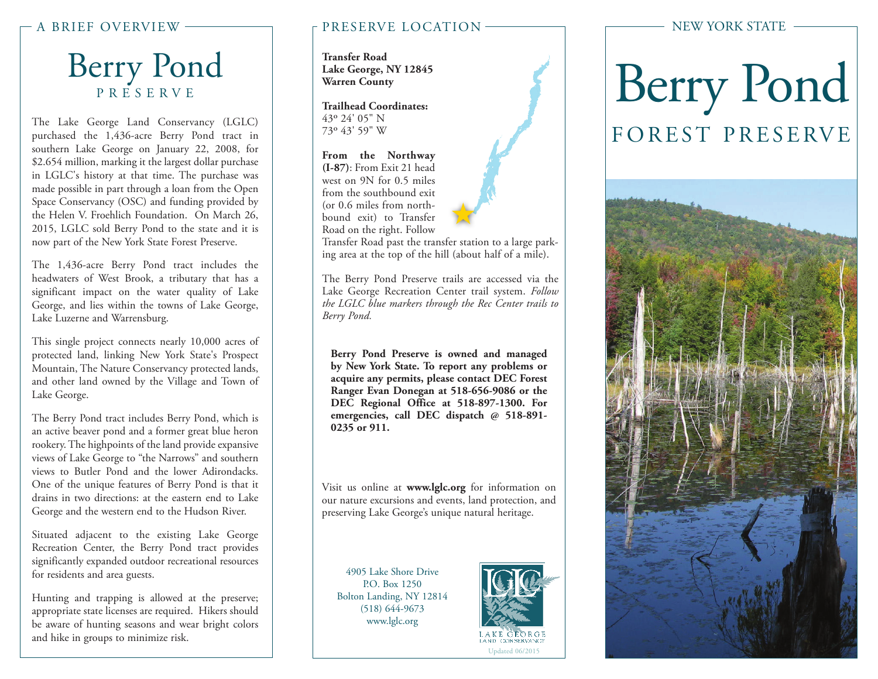## Berry Pond PRESERVE

The Lake George Land Conservancy (LGLC) purchased the 1,436-acre Berry Pond tract in southern Lake George on January 22, 2008, for \$2.654 million, marking it the largest dollar purchase in LGLC's history at that time. The purchase was made possible in part through a loan from the Open Space Conservancy (OSC) and funding provided by the Helen V. Froehlich Foundation. On March 26, 2015, LGLC sold Berry Pond to the state and it is now part of the New York State Forest Preserve.

The 1,436-acre Berry Pond tract includes the headwaters of West Brook, a tributary that has a significant impact on the water quality of Lake George, and lies within the towns of Lake George, Lake Luzerne and Warrensburg.

This single project connects nearly 10,000 acres of protected land, linking New York State's Prospect Mountain, The Nature Conservancy protected lands, and other land owned by the Village and Town of Lake George.

The Berry Pond tract includes Berry Pond, which is an active beaver pond and a former great blue heron rookery. The highpoints of the land provide expansive views of Lake George to "the Narrows" and southern views to Butler Pond and the lower Adirondacks. One of the unique features of Berry Pond is that it drains in two directions: at the eastern end to Lake George and the western end to the Hudson River.

Situated adjacent to the existing Lake George Recreation Center, the Berry Pond tract provides significantly expanded outdoor recreational resources for residents and area guests.

Hunting and trapping is allowed at the preserve; appropriate state licenses are required. Hikers should be aware of hunting seasons and wear bright colors and hike in groups to minimize risk.

#### A BRIEF OVERVIEW PRESERVE LOCATION

**Transfer Road Lake George, NY 12845 Warren County**

**Trailhead Coordinates:** 43o 24' 05" N 73o 43' 59" W

**From the Northway (I-87)**: From Exit 21 head west on 9N for 0.5 miles from the southbound exit (or 0.6 miles from northbound exit) to Transfer Road on the right. Follow



Transfer Road past the transfer station to a large parking area at the top of the hill (about half of a mile).

The Berry Pond Preserve trails are accessed via the Lake George Recreation Center trail system. *Follow the LGLC blue markers through the Rec Center trails to Berry Pond.*

**Berry Pond Preserve is owned and managed by New York State. To report any problems or acquire any permits, please contact DEC Forest Ranger Evan Donegan at 518-656-9086 or the DEC Regional Office at 518-897-1300. For emergencies, call DEC dispatch @ 518-891- 0235 or 911.**

Visit us online at **www.lglc.org** for information on our nature excursions and events, land protection, and preserving Lake George's unique natural heritage.

4905 Lake Shore Drive P.O. Box 1250 Bolton Landing, NY 12814 (518) 644-9673 www.lglc.org



#### NEW YORK STATE